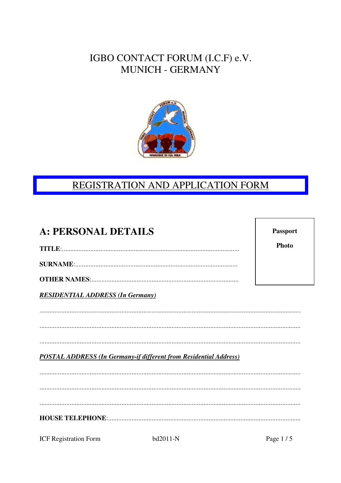### IGBO CONTACT FORUM (I.C.F) e.V. MUNICH - GERMANY



# REGISTRATION AND APPLICATION FORM

| <b>A: PERSONAL DETAILS</b>                                               | <b>Passport</b> |
|--------------------------------------------------------------------------|-----------------|
|                                                                          | Photo           |
|                                                                          |                 |
|                                                                          |                 |
| <b>RESIDENTIAL ADDRESS (In Germany)</b>                                  |                 |
|                                                                          |                 |
|                                                                          |                 |
|                                                                          |                 |
| <b>POSTAL ADDRESS (In Germany-if different from Residential Address)</b> |                 |
|                                                                          |                 |
|                                                                          |                 |
|                                                                          |                 |
|                                                                          |                 |
|                                                                          |                 |

**ICF Registration Form**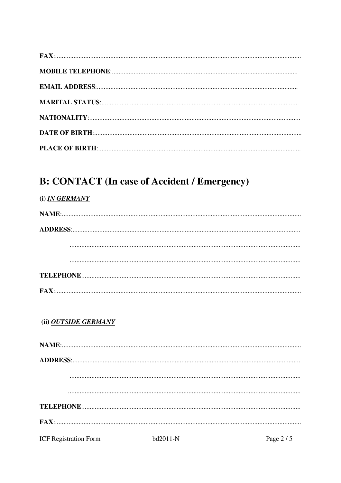# **B: CONTACT (In case of Accident / Emergency)**

| (i) <i>IN GERMANY</i>        |          |            |
|------------------------------|----------|------------|
|                              |          |            |
|                              |          |            |
|                              |          |            |
|                              |          |            |
|                              |          |            |
|                              |          |            |
| (ii) OUTSIDE GERMANY         |          |            |
|                              |          |            |
|                              |          |            |
|                              |          |            |
|                              |          |            |
|                              |          |            |
|                              |          |            |
| <b>ICF Registration Form</b> | bd2011-N | Page $2/5$ |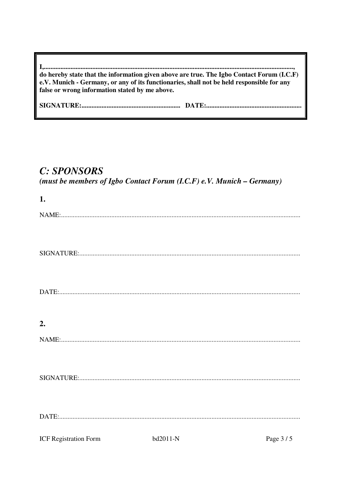| do hereby state that the information given above are true. The Igbo Contact Forum (I.C.F)<br>e.V. Munich - Germany, or any of its functionaries, shall not be held responsible for any<br>false or wrong information stated by me above. |  |
|------------------------------------------------------------------------------------------------------------------------------------------------------------------------------------------------------------------------------------------|--|
|                                                                                                                                                                                                                                          |  |

#### **C: SPONSORS**

(must be members of Igbo Contact Forum (I.C.F) e.V. Munich - Germany)

| 1.                           |          |          |
|------------------------------|----------|----------|
|                              |          |          |
|                              |          |          |
|                              |          |          |
|                              |          |          |
|                              |          |          |
|                              |          |          |
|                              |          |          |
|                              |          |          |
|                              |          |          |
| 2.                           |          |          |
|                              |          |          |
|                              |          |          |
|                              |          |          |
|                              |          |          |
|                              |          |          |
|                              |          |          |
|                              |          |          |
|                              |          |          |
| <b>ICF Registration Form</b> | bd2011-N | Page 3/5 |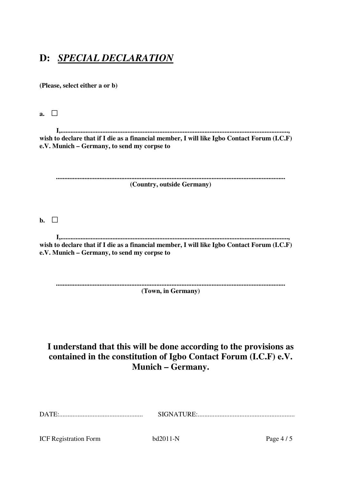### **D:** *SPECIAL DECLARATION*

**(Please, select either a or b)** 

**a.** □

 **I,........................................................................................................................................, wish to declare that if I die as a financial member, I will like Igbo Contact Forum (I.C.F) e.V. Munich – Germany, to send my corpse to** 

| (Country, outside Germany) |
|----------------------------|

**b.** □

 **I,........................................................................................................................................, wish to declare that if I die as a financial member, I will like Igbo Contact Forum (I.C.F) e.V. Munich – Germany, to send my corpse to** 

**......................................................................................................................................... (Town, in Germany)** 

#### **I understand that this will be done according to the provisions as contained in the constitution of Igbo Contact Forum (I.C.F) e.V. Munich – Germany.**

| <b>ICF Registration Form</b> | $hd2011-N$ | Page $4/5$ |
|------------------------------|------------|------------|